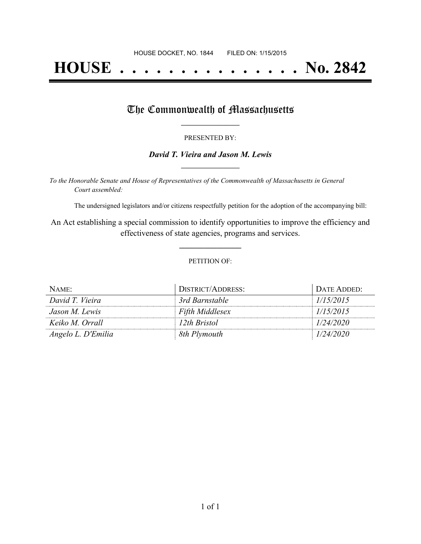# **HOUSE . . . . . . . . . . . . . . . No. 2842**

## The Commonwealth of Massachusetts

#### PRESENTED BY:

#### *David T. Vieira and Jason M. Lewis* **\_\_\_\_\_\_\_\_\_\_\_\_\_\_\_\_\_**

*To the Honorable Senate and House of Representatives of the Commonwealth of Massachusetts in General Court assembled:*

The undersigned legislators and/or citizens respectfully petition for the adoption of the accompanying bill:

An Act establishing a special commission to identify opportunities to improve the efficiency and effectiveness of state agencies, programs and services.

**\_\_\_\_\_\_\_\_\_\_\_\_\_\_\_**

#### PETITION OF:

| NAME:              | DISTRICT/ADDRESS:      | DATE ADDED: |
|--------------------|------------------------|-------------|
| David T. Vieira    | 3rd Barnstable         | 1/15/2015   |
| Jason M. Lewis     | <b>Fifth Middlesex</b> | 1/15/2015   |
| Keiko M. Orrall    | 12th Bristol           | 1/24/2020   |
| Angelo L. D'Emilia | 8th Plymouth           | 1/24/2020   |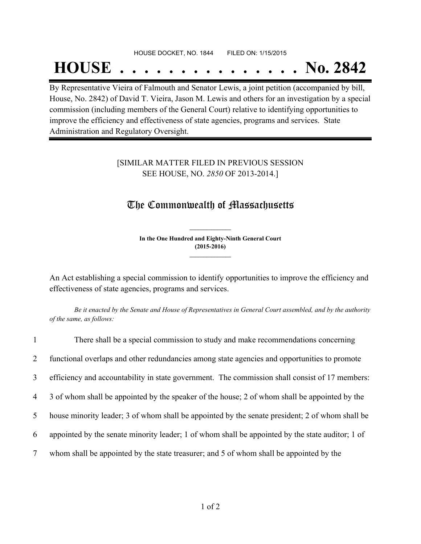# HOUSE DOCKET, NO. 1844 FILED ON: 1/15/2015 **HOUSE . . . . . . . . . . . . . . . No. 2842**

By Representative Vieira of Falmouth and Senator Lewis, a joint petition (accompanied by bill, House, No. 2842) of David T. Vieira, Jason M. Lewis and others for an investigation by a special commission (including members of the General Court) relative to identifying opportunities to improve the efficiency and effectiveness of state agencies, programs and services. State Administration and Regulatory Oversight.

### [SIMILAR MATTER FILED IN PREVIOUS SESSION SEE HOUSE, NO. *2850* OF 2013-2014.]

## The Commonwealth of Massachusetts

**In the One Hundred and Eighty-Ninth General Court (2015-2016) \_\_\_\_\_\_\_\_\_\_\_\_\_\_\_**

**\_\_\_\_\_\_\_\_\_\_\_\_\_\_\_**

An Act establishing a special commission to identify opportunities to improve the efficiency and effectiveness of state agencies, programs and services.

Be it enacted by the Senate and House of Representatives in General Court assembled, and by the authority *of the same, as follows:*

| $\mathbf{1}$   | There shall be a special commission to study and make recommendations concerning                 |
|----------------|--------------------------------------------------------------------------------------------------|
| $\overline{2}$ | functional overlaps and other redundancies among state agencies and opportunities to promote     |
| $\overline{3}$ | efficiency and accountability in state government. The commission shall consist of 17 members:   |
| 4              | 3 of whom shall be appointed by the speaker of the house; 2 of whom shall be appointed by the    |
| 5              | house minority leader; 3 of whom shall be appointed by the senate president; 2 of whom shall be  |
| 6              | appointed by the senate minority leader; 1 of whom shall be appointed by the state auditor; 1 of |
| 7              | whom shall be appointed by the state treasurer; and 5 of whom shall be appointed by the          |